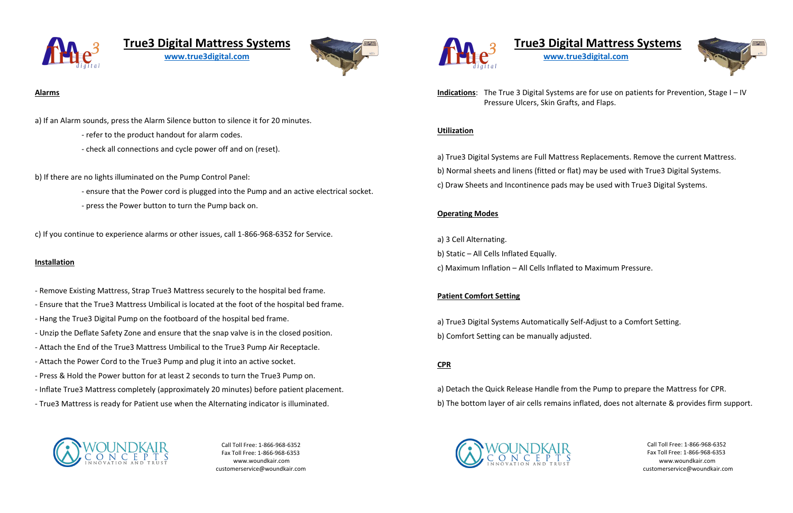

# **True3 Digital Mattress Systems**

**[www.true3digital.com](http://www.true3digital.com/)**



### **Alarms**

a) If an Alarm sounds, press the Alarm Silence button to silence it for 20 minutes.

- refer to the product handout for alarm codes.
- check all connections and cycle power off and on (reset).

b) If there are no lights illuminated on the Pump Control Panel:

- ensure that the Power cord is plugged into the Pump and an active electrical socket.
- press the Power button to turn the Pump back on.

c) If you continue to experience alarms or other issues, call 1-866-968-6352 for Service.

#### **Installation**

- Remove Existing Mattress, Strap True3 Mattress securely to the hospital bed frame.
- Ensure that the True3 Mattress Umbilical is located at the foot of the hospital bed frame.
- Hang the True3 Digital Pump on the footboard of the hospital bed frame.
- Unzip the Deflate Safety Zone and ensure that the snap valve is in the closed position.
- Attach the End of the True3 Mattress Umbilical to the True3 Pump Air Receptacle.
- Attach the Power Cord to the True3 Pump and plug it into an active socket.
- Press & Hold the Power button for at least 2 seconds to turn the True3 Pump on.
- Inflate True3 Mattress completely (approximately 20 minutes) before patient placement.
- True3 Mattress is ready for Patient use when the Alternating indicator is illuminated.



Call Toll Free: 1-866-968-6352 Fax Toll Free: 1-866-968-6353 www.woundkair.com customerservice@woundkair.com





# **True3 Digital Mattress Systems**

**[www.true3digital.com](http://www.true3digital.com/)**



**Indications**: The True 3 Digital Systems are for use on patients for Prevention, Stage I – IV Pressure Ulcers, Skin Grafts, and Flaps.

# **Utilization**

a) True3 Digital Systems are Full Mattress Replacements. Remove the current Mattress. b) Normal sheets and linens (fitted or flat) may be used with True3 Digital Systems.

c) Draw Sheets and Incontinence pads may be used with True3 Digital Systems.

# **Operating Modes**

- a) 3 Cell Alternating.
- b) Static All Cells Inflated Equally.
- c) Maximum Inflation All Cells Inflated to Maximum Pressure.

## **Patient Comfort Setting**

a) True3 Digital Systems Automatically Self-Adjust to a Comfort Setting. b) Comfort Setting can be manually adjusted.

# **CPR**

a) Detach the Quick Release Handle from the Pump to prepare the Mattress for CPR. b) The bottom layer of air cells remains inflated, does not alternate & provides firm support.



Call Toll Free: 1-866-968-6352 Fax Toll Free: 1-866-968-6353 www.woundkair.com customerservice@woundkair.com